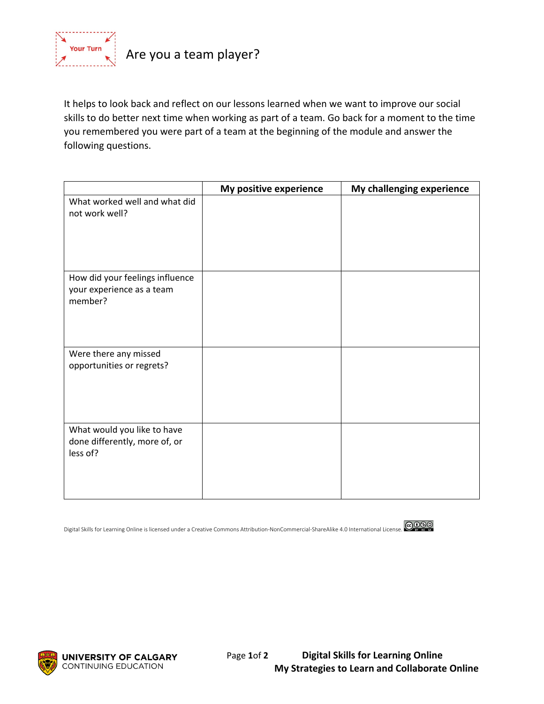

It helps to look back and reflect on our lessons learned when we want to improve our social skills to do better next time when working as part of a team. Go back for a moment to the time you remembered you were part of a team at the beginning of the module and answer the following questions.

|                                                                          | My positive experience | My challenging experience |
|--------------------------------------------------------------------------|------------------------|---------------------------|
| What worked well and what did<br>not work well?                          |                        |                           |
| How did your feelings influence<br>your experience as a team<br>member?  |                        |                           |
| Were there any missed<br>opportunities or regrets?                       |                        |                           |
| What would you like to have<br>done differently, more of, or<br>less of? |                        |                           |

Digital Skills for Learning Online is licensed under a Creative Commons Attribution-NonCommercial-ShareAlike 4.0 International License.





**UNIVERSITY OF CALGARY** Page 1of 2 **Digital Skills for Learning Online**<br>CONTINUING EDUCATION **My Strategies to Learn and Collaborate My Strategies to Learn and Collaborate Online**